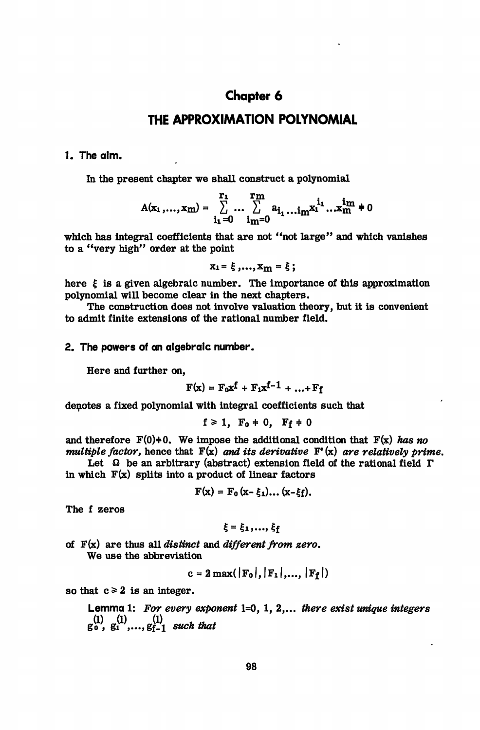# **Chapter 6**

## **THE APPROXIMATION POLYNOMIAL**

## **1. The aim.**

In the present chapter we shall construct a polynomial

$$
A(x_1,...,x_m)=\sum_{i_1=0}^{r_1}\cdots\sum_{i_m=0}^{r_m}a_{i_1}...i_mx_1^{i_1}...x_m^{i_m}\neq 0
$$

which has integral coefficients that are not "not large" and which vanishes to a "very high" order at the point

 $x_1 = \xi$ ,..., $x_m = \xi$ ;

here  $\xi$  is a given algebraic number. The importance of this approximation polynomial will become clear in the next chapters.

The construction does not involve valuation theory, but it is convenient to admit finite extensions of the rational number field.

### **2. The powers of an algebraic number.**

Here and further on,

$$
F(x) = F_0 x^f + F_1 x^{f-1} + ... + F_f
$$

denotes a fixed polynomial with integral coefficients such that

$$
f \geq 1, F_0 + 0, F_f + 0
$$

and therefore  $F(0)+0$ . We impose the additional condition that  $F(x)$  has no *multiple factor,* hence that F(x) *and its derivative* F<sup>1</sup> (x) *are relatively prime.*

Let  $\Omega$  be an arbitrary (abstract) extension field of the rational field  $\Gamma$ in which  $F(x)$  splits into a product of linear factors

$$
F(x) = F_0(x-\xi_1)...(x-\xi_f).
$$

The f zeros

$$
\xi = \xi_1, \ldots, \xi_f
$$

of F(x) are thus all *distinct* and *different from zero.* We use the abbreviation

$$
c = 2 \max(\lvert F_0 \rvert, \lvert F_1 \rvert, \ldots, \lvert F_f \rvert)
$$

so that  $c \geq 2$  is an integer.

Lemma 1: *For every exponent* 1=0, 1, 2,... *there exist unique integers*  $g_0^{(1)}$ ,  $g_1^{(1)}$ , ...,  $g_{f-1}^{(1)}$  such that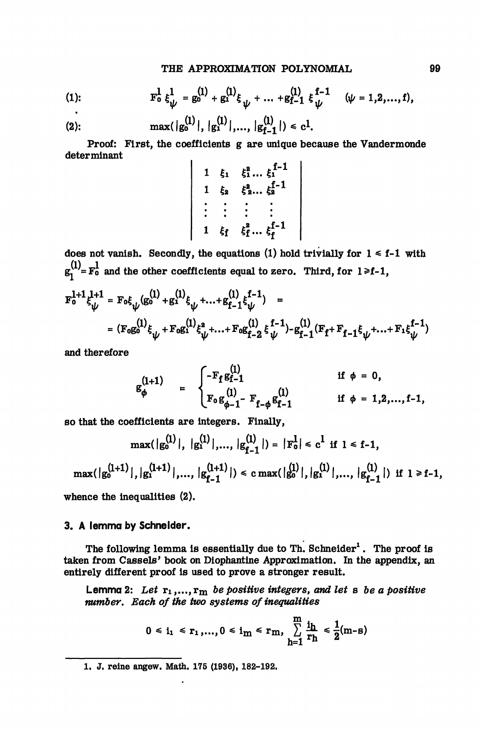(1): 
$$
F_0^1 \xi_{\psi}^1 = g_0^{(1)} + g_1^{(1)} \xi_{\psi} + ... + g_{f-1}^{(1)} \xi_{\psi}^{f-1} \quad (\psi = 1, 2, ..., f),
$$

(2): 
$$
\max(|g_0^{(1)}|, |g_1^{(1)}|, ..., |g_{f-1}^{(1)}|) \leq c^1
$$
.

Proof: First, the coefficients g are unique because the Vandermonde determinant

$$
\begin{array}{c|ccccc}\n1 & \xi_1 & \xi_1^2 \dots \xi_1^{f-1} \\
1 & \xi_2 & \xi_2^2 \dots \xi_2^{f-1} \\
\vdots & \vdots & \vdots & \vdots \\
1 & \xi_f & \xi_f^2 \dots \xi_f^{f-1}\n\end{array}
$$

does not vanish. Secondly, the equations (1) hold trivially for  $1 \le f-1$  with  $g_1^{(1)} = F_0^1$  and the other coefficients equal to zero. Third, for  $1 \ge f-1$ ,

$$
F_0^{l+1} \xi_{\psi}^{l+1} = F_0 \xi_{\psi} (g_0^{(1)} + g_1^{(1)} \xi_{\psi} + ... + g_{f-1}^{(1)} \xi_{\psi}^{f-1}) =
$$
  
= 
$$
(F_0 g_0^{(1)} \xi_{\psi} + F_0 g_1^{(1)} \xi_{\psi}^a + ... + F_0 g_{f-2}^{(1)} \xi_{\psi}^{f-1}) - g_{f-1}^{(1)} (F_f + F_{f-1} \xi_{\psi} + ... + F_1 \xi_{\psi}^{f-1})
$$

and therefore

$$
g_{\phi}^{(1+1)} = \begin{cases} -F_{f}g_{f-1}^{(1)} & \text{if } \phi = 0, \\ F_{0}g_{\phi-1}^{(1)} - F_{f-\phi}g_{f-1}^{(1)} & \text{if } \phi = 1,2,...,f-1, \end{cases}
$$

so that the coefficients are integers. Finally,

$$
\max(|g_0^{(1)}|, |g_1^{(1)}|, ..., |g_{f-1}^{(1)}|) = |F_0^1| \le c^1 \text{ if } 1 \le f-1,
$$

 $\max(\big|g_0^{(l+1)}\big|, \big|g_1^{(l+1)}\big|,...,\big|g_{f-1}^{(l+1)}\big|\big) \leq c\max(\big|g_0^{(l)}\big|, \big|g_1^{(l)}\big|,...,\big|g_{f-1}^{(l)}\big|\big) \text{ if $l \geq f-1$,}$ 

whence the inequalities (2).

#### **3. A lemma by Schneider.**

The following lemma is essentially due to Th.  $S$ chneider<sup>1</sup>. The proof is taken from Cassels' book on Diophantine Approximation. In the appendix, an entirely different proof is used to prove a stronger result.

Lemma 2: Let  $r_1, ..., r_m$  be positive integers, and let  $s$  be a positive *number. Each of the two systems of inequalities*

$$
0 \le i_1 \le r_1, ..., 0 \le i_m \le r_m, \sum_{h=1}^{m} \frac{i_h}{r_h} \le \frac{1}{2}(m-s)
$$

1. J. reine angew. Math. 175 (1936), 182-192.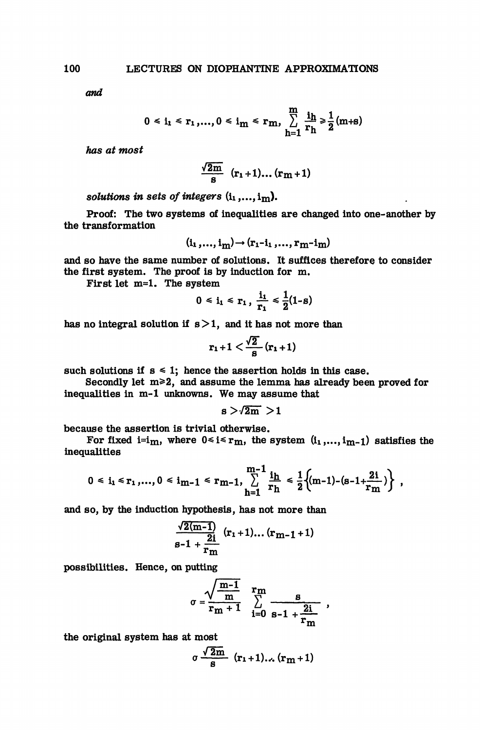*and*

$$
0 \le i_1 \le r_1, ..., 0 \le i_m \le r_m, \sum_{h=1}^{m} \frac{i_h}{r_h} \ge \frac{1}{2}(m+1)
$$

*has at most*

$$
\frac{\sqrt{2m}}{s} (r_1+1)...(r_m+1)
$$

*solutions in sets of integers* (ii ,..., im).

Proof: The two systems of inequalities are changed into one- another by the transformation

$$
(\mathbf{i_1},\ldots,\mathbf{i_m})\rightarrow(\mathbf{r_1-i_1},\ldots,\mathbf{r_m-i_m})
$$

and so have the same number of solutions. It suffices therefore to consider the first system. The proof is by induction for m.

First let m=l. The system

$$
0 \leq i_1 \leq r_1 , \frac{i_1}{r_1} \leq \frac{1}{2}(1-s)
$$

has no integral solution if  $s > 1$ , and it has not more than

$$
r_1+1 < \frac{\sqrt{2}}{s}(r_1+1)
$$

such solutions if  $s \leq 1$ ; hence the assertion holds in this case.

Secondly let  $m \geq 2$ , and assume the lemma has already been proved for inequalities in m-1 unknowns. We may assume that

$$
s > \sqrt{2m} > 1
$$

because the assertion is trivial otherwise.

For fixed i=i<sub>m</sub>, where  $0 \le i \le r_m$ , the system  $(i_1,...,i_{m-1})$  satisfies the inequalities

$$
0 \leq i_1 \leq r_1, ..., 0 \leq i_{m-1} \leq r_{m-1}, \sum_{h=1}^{m-1} \frac{i_h}{r_h} \leq \frac{1}{2} \Big( (m-1) - (s-1+\frac{2i}{r_m}) \Big) ,
$$

and so, by the induction hypothesis, has not more than

$$
\frac{\sqrt{2(m-1)}}{s-1+\frac{2i}{r_m}} (r_1+1)...(r_{m-1}+1)
$$

possibilities. Hence, on putting

$$
\sigma = \frac{\sqrt{\frac{m-1}{m}} \sum_{i=0}^{r} \frac{s}{s-1 + \frac{2i}{r_m}},
$$

the original system has at most

$$
\sigma \frac{\sqrt{2m}}{s} (r_1+1) \dots (r_m+1)
$$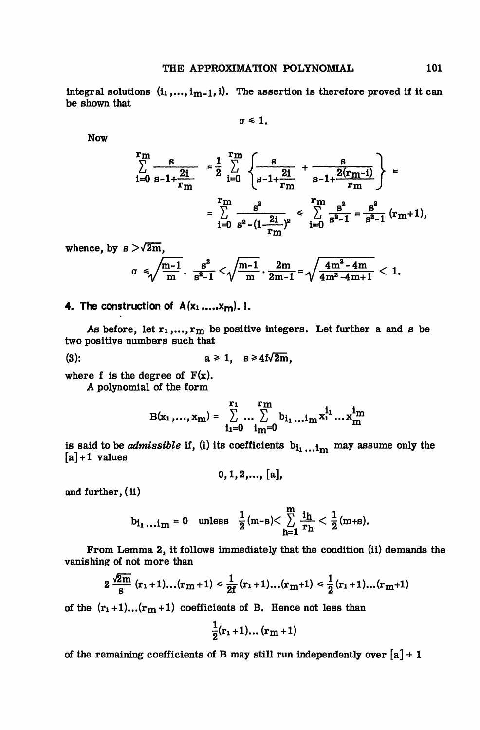integral solutions  $(i_1,...,i_{m-1},i)$ . The assertion is therefore proved if it can be shown that

$$
\sigma\leq 1.
$$

Now

$$
\sum_{i=0}^{r} \frac{s}{s-1+\frac{2i}{r_m}} = \frac{1}{2} \sum_{i=0}^{r} \frac{s}{s-1+\frac{2i}{r_m}} + \frac{s}{s-1+\frac{2(r_m-i)}{r_m}} = \sum_{i=0}^{r} \frac{s^2}{s^2-(1-\frac{2i}{r_m})^2} \le \sum_{i=0}^{r} \frac{s^2}{s^2-1} = \frac{s^2}{s^2-1} (r_m+1),
$$

whence, by  $s > \sqrt{2m}$ ,

$$
\sigma \leqslant \sqrt{\frac{m-1}{m}} \cdot \frac{s^2}{s^2-1} < \sqrt{\frac{m-1}{m}} \cdot \frac{2m}{2m-1} = \sqrt{\frac{4m^2-4m}{4m^2-4m+1}} < 1.
$$

**4. The construction of A(xi,...,xm). I.**

As before, let  $r_1,...,r_m$  be positive integers. Let further a and s be two positive numbers such that

$$
(3): \t a \ge 1, \t s \ge 4f\sqrt{2m},
$$

where f is the degree of  $F(x)$ .

A polynomial of the form

$$
B(x_1,...,x_m)=\sum_{i_1=0}^{r_1}\dots\sum_{i_m=0}^{r_m}b_{i_1}...\iota_m x_1^{i_1}...\iota_m^{i_m}
$$

is said to be *admissible* if, (i) its coefficients  $b_i$ <sub>1</sub>... i<sub>m</sub> may assume only the  $[a] + 1$  values

$$
0, 1, 2, ..., [a],
$$

and further, (ii)

$$
b_{i_1\ldots i_m}=0 \quad \text{unless} \quad \frac{1}{2}(m-s)<\sum_{h=1}^m \frac{i_h}{r_h}<\frac{1}{2}(m+s).
$$

From Lemma 2, it follows immediately that the condition (ii) demands the vanishing of not more than

$$
2\frac{\sqrt{2m}}{s}(r_1+1)...(r_m+1) \le \frac{1}{2f}(r_1+1)...(r_m+1) \le \frac{1}{2}(r_1+1)...(r_m+1)
$$

of the  $(r_1+1)...(r_m+1)$  coefficients of B. Hence not less than

$$
\frac{1}{2}(\mathbf{r}_1+1)\dots(\mathbf{r}_m+1)
$$

of the remaining coefficients of B may still run independently over  $[a] + 1$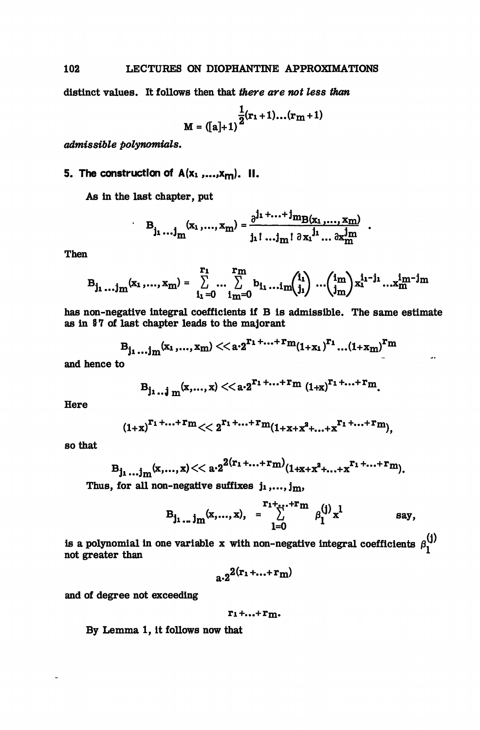distinct values. It follows then that *there are not less than*

$$
M = ([a]+1)\frac{1}{2}(r_1+1)...(r_m+1)
$$

*admissible polynomials.*

## 5. The construction of  $A(x_1, ..., x_m)$ . II.

As in the last chapter, put

 $\ddot{\phantom{0}}$ 

$$
B_{j_1...j_m}(x_1,...,x_m) = \frac{\partial^{j_1+...+j} m_{B(x_1,...,x_m)}}{j_1!...j_m! \partial x_1^{j_1}... \partial x_m^{j_m}}
$$

Then

$$
B_{j_1...j_m}(x_1,...,x_m) = \sum_{i_1=0}^{r_1} ... \sum_{i_m=0}^{r_m} b_{i_1} ... i_m {i_1 \choose i_1} ... {i_m \choose i_m} x_1^{i_1-j_1} ... x_m^{i_m-j_m}
$$

has non-negative integral coefficients if B is admissible. The same estimate as in §7 of last chapter leads to the majorant

$$
B_{j_1...j_m}(x_1,...,x_m) << a \cdot 2^{r_1+...+r_m}(1+x_1)^{r_1}...(1+x_m)^{r_m}
$$

and hence to

$$
B_{j_1...j_m}(x,...,x) << a \cdot 2^{r_1+...+r_m} (1+x)^{r_1+...+r_m}.
$$

Here

$$
(1+x)^{r_1+\ldots+r_m}<<2^{r_1+\ldots+r_m}(1+x+x^2+\ldots+x^{r_1+\ldots+r_m}),
$$

so that

$$
B_{j_1...j_m}(x,...,x)<\langle a\cdot 2^{2(r_1+...+r_m)}(1+x+x^2+...+x^{r_1+...+r_m}).
$$

Thus, for all non-negative suffixes  $j_1, \ldots, j_m$ ,

$$
B_{j_1...j_m}(x,...,x), = \sum_{l=0}^{r_1+...+r_m} \beta_1^{(j)} x^l \qquad \text{say},
$$

÷.

is a polynomial in one variable x with non-negative integral coefficients  $\beta_1^{(j)}$ not greater than

$$
a\cdot 2^{2(r_1+\ldots+r_m)}
$$

and of degree not exceeding

$$
\mathbf{r_1} + \ldots + \mathbf{r_m}.
$$

By Lemma 1, it follows now that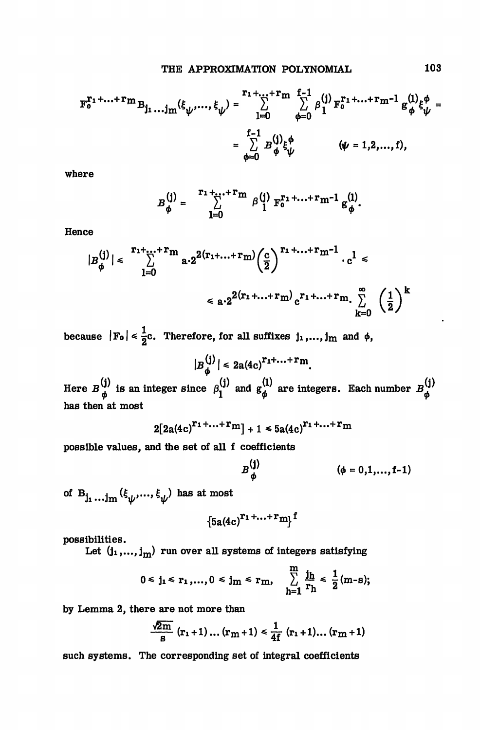$$
F_0^{r_1 + ... + r_m} B_{j_1 ... j_m}(\xi_{\psi}, ..., \xi_{\psi}) = \sum_{l=0}^{r_1 + ... + r_m} \sum_{\phi=0}^{f-1} \beta_1^{(j)} F_0^{r_1 + ... + r_m - 1} g_{\phi}^{(1)} \xi_{\psi}^{\phi} =
$$

$$
= \sum_{\phi=0}^{f-1} B_{\phi}^{(j)} \xi_{\psi}^{\phi} \qquad (\psi = 1, 2, ..., t),
$$

where

$$
B_{\phi}^{(j)} = \sum_{l=0}^{r_1 + \ldots + r_m} \beta_{l}^{(j)} F_{0}^{r_1 + \ldots + r_{m-1}} g_{\phi}^{(l)}.
$$

**Hence** 

$$
|B_{\phi}^{(j)}| \leq \sum_{l=0}^{r_1 + ... + r_m} a \cdot 2^{2(r_1 + ... + r_m)} \left(\frac{c}{2}\right)^{r_1 + ... + r_m - 1} \cdot c^l \leq
$$

$$
\leq a \cdot 2^{2(r_1 + ... + r_m)} c^{r_1 + ... + r_m} \cdot \sum_{k=0}^{\infty} \left(\frac{1}{2}\right)^k
$$

because  $|F_0| \leq \frac{1}{2}c$ . Therefore, for all suffixes j<sub>1</sub>,..., j<sub>m</sub> and  $\phi$ ,

$$
|B_{\phi}^{(j)}| \leq 2a(4c)^{r_1 + \ldots + r_m}
$$

Here  $B^{\{1\}}_{\mu}$  is an integer since  $\beta^{\{1\}}_{1}$  and  $g^{\{1\}}_{\mu}$  are integers. Each number  $B^{\{1\}}_{\mu}$ has then at most

$$
2[2a(4c)^{r_1+\ldots+r_m}]+1\leq 5a(4c)^{r_1+\ldots+r_m}
$$

possible values, and the set of all f coefficients

$$
B_{\phi}^{(j)} \qquad (\phi = 0, 1, ..., f-1)
$$

of  $B_{j_1...j_m}(\xi_{\psi},...,\xi_{\psi})$  has at most

$$
{5a(4c)}^{r_1+\ldots+r_m}f
$$

possibilities.

Let  $(j_1,...,j_m)$  run over all systems of integers satisfying

$$
0 \le j_1 \le r_1, ..., 0 \le j_m \le r_m, \quad \sum_{h=1}^{m} \frac{j_h}{r_h} \le \frac{1}{2}(m-s);
$$

by Lemma 2, there are not more than

$$
\frac{\sqrt{2m}}{s} (r_1+1)...(r_m+1) \leq \frac{1}{4f} (r_1+1)...(r_m+1)
$$

such systems. The corresponding set of integral coefficients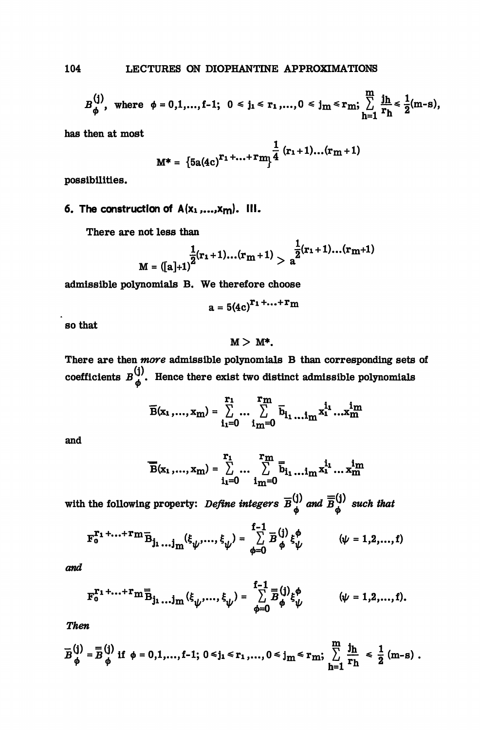$$
B_{\phi}^{(j)}, \text{ where } \phi = 0, 1, ..., f-1; \quad 0 \leq j_1 \leq r_1, ..., 0 \leq j_m \leq r_m; \quad \sum_{h=1}^{m} \frac{j_h}{r_h} \leq \frac{1}{2}(m-s),
$$

has then at most

$$
M^* = \left\{5a(4c)^{r_1 + ... + r}m\right\}^{\frac{1}{4}(r_1 + 1)...(r_m + 1)}
$$

possibilities.

## 6. The construction of  $A(x_1,...,x_m)$ . III.

There are not less than

$$
M = ([a]+1)^{\frac{1}{2}(r_1+1)...(r_m+1)} > a^{\frac{1}{2}(r_1+1)...(r_m+1)}
$$

ä.

admissible polynomials B. We therefore choose

$$
a = 5(4c)^{r_1 + \ldots + r_m}
$$

so that

### $M > M^*$ .

There are then *more* admissible polynomials B than corresponding sets of coefficients  $B_{\phi}^{(1)}$ . Hence there exist two distinct admissible polynomials

$$
\overline{B}(x_1,...,x_m) = \sum_{i_1=0}^{r_1} ... \sum_{i_m=0}^{r_m} \overline{b}_{i_1...i_m} x_1^{i_1} ... x_m^{i_m}
$$

and

$$
\overline{B}(x_1,...,x_m) = \sum_{i_1=0}^{r_1} ... \sum_{i_m=0}^{r_m} \overline{b}_{i_1} ... i_m x_1^{i_1} ... x_m^{i_m}
$$

with the following property: *Define integers*  $\overline{B}^{(j)}_{\phi}$  and  $\overline{B}^{(j)}_{\phi}$  such that

$$
\mathbf{F}_0^{\mathbf{T}_1 + \ldots + \mathbf{T}_m} \mathbf{\bar{B}}_{j_1 \ldots j_m} (\xi_{\psi}, \ldots, \xi_{\psi}) = \sum_{\phi=0}^{f-1} \mathbf{\bar{B}}_{\phi}^{(j)} \xi_{\psi}^{\phi} \qquad (\psi = 1, 2, \ldots, f)
$$

and

$$
\mathbf{F}_0^{\Gamma_1 + \ldots + \Gamma} \mathbf{m}_{\tilde{B}_{j_1} \ldots j_{m}}^{\mathbf{m}}(\xi_{\psi}, \ldots, \xi_{\psi}) = \sum_{\phi=0}^{f-1} \bar{B}_{\phi}^{(j)} \xi_{\psi}^{\phi} \qquad (\psi = 1, 2, \ldots, f).
$$

Then

$$
\overline{B}_{\phi}^{(j)} = \overline{B}_{\phi}^{(j)} \text{ if } \phi = 0, 1, ..., f-1; \ 0 \leq j_1 \leq r_1, ..., 0 \leq j_m \leq r_m; \ \sum_{h=1}^{m} \frac{j_h}{r_h} \leq \frac{1}{2} (m-s) .
$$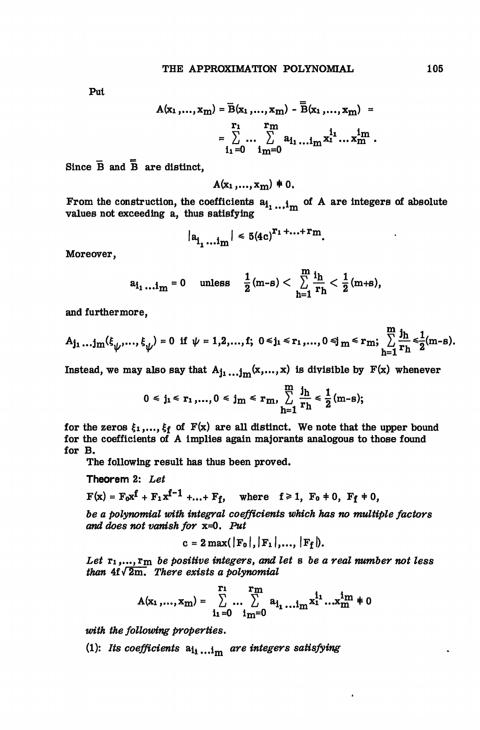Put

$$
A(x_1,...,x_m) = \overline{B}(x_1,...,x_m) - \overline{B}(x_1,...,x_m) = \sum_{i_1=0}^{r_1} \cdots \sum_{i_m=0}^{r_m} a_{i_1} \cdots a_{m}^{i_1} \cdots a_{m}^{i_m}.
$$

Since  $\overline{B}$  and  $\overline{B}$  are distinct,

$$
A(x_1,...,x_m) \neq 0.
$$

From the construction, the coefficients  $a^{\dagger}_{1} \ldots i^{\dagger}_{m}$  of A are integers of absolute values not exceeding a, thus satisfying

$$
|a_{i_1...i_m}| \le 5(4c)^{r_1+...+r_m}.
$$

Moreover,

$$
a_{i_1\ldots i_m}=0 \quad \text{unless} \quad \frac{1}{2}(m-s)<\sum_{h=1}^m \frac{i_h}{r_h}<\frac{1}{2}(m+s),
$$

and furthermore,

$$
A_{j_1}...j_m(\xi_{\psi},..., \xi_{\psi}) = 0 \text{ if } \psi = 1, 2,..., f; \ 0 \leq j_1 \leq r_1,..., 0 \leq j_m \leq r_m; \sum_{h=1}^{m} \frac{j_h}{r_h} \leq \frac{1}{2}(m-s).
$$

Instead, we may also say that  $A_{j_1...j_m}(x,...,x)$  is divisible by  $F(x)$  whenever

$$
0 \le j_1 \le r_1,..., 0 \le j_m \le r_m, \sum_{h=1}^m \frac{j_h}{r_h} \le \frac{1}{2} (m-s);
$$

for the zeros  $\xi_1,...,\xi_f$  of  $F(x)$  are all distinct. We note that the upper bound for the coefficients of A implies again majorants analogous to those found for B.

The following result has thus been proved.

Theorem 2: *Let*

$$
F(x) = F_0 x^f + F_1 x^{f-1} + ... + F_f
$$
, where  $f \ge 1$ ,  $F_0 + 0$ ,  $F_f + 0$ ,

*be a polynomial with integral coefficients which has no multiple factors and does not vanish for* x=0. *Put*

$$
c = 2 \max(\vert F_0 \vert, \vert F_1 \vert, \ldots, \vert F_f \vert).
$$

*Let* ri,..., rm *be positive integers, and let B be a real number not less than*  $4f\sqrt{2m}$ *. There exists a polynomial* 

$$
A(x_1,...,x_m)=\sum_{i_1=0}^{r_1}\dots\sum_{i_m=0}^{r_m}a_{i_1\dots i_m}x_1^{i_1}...x_m^{i_m}\neq 0
$$

*with the following properties.*

(1): Its coefficients  $a_{l_1...i_m}$  are integers satisfying